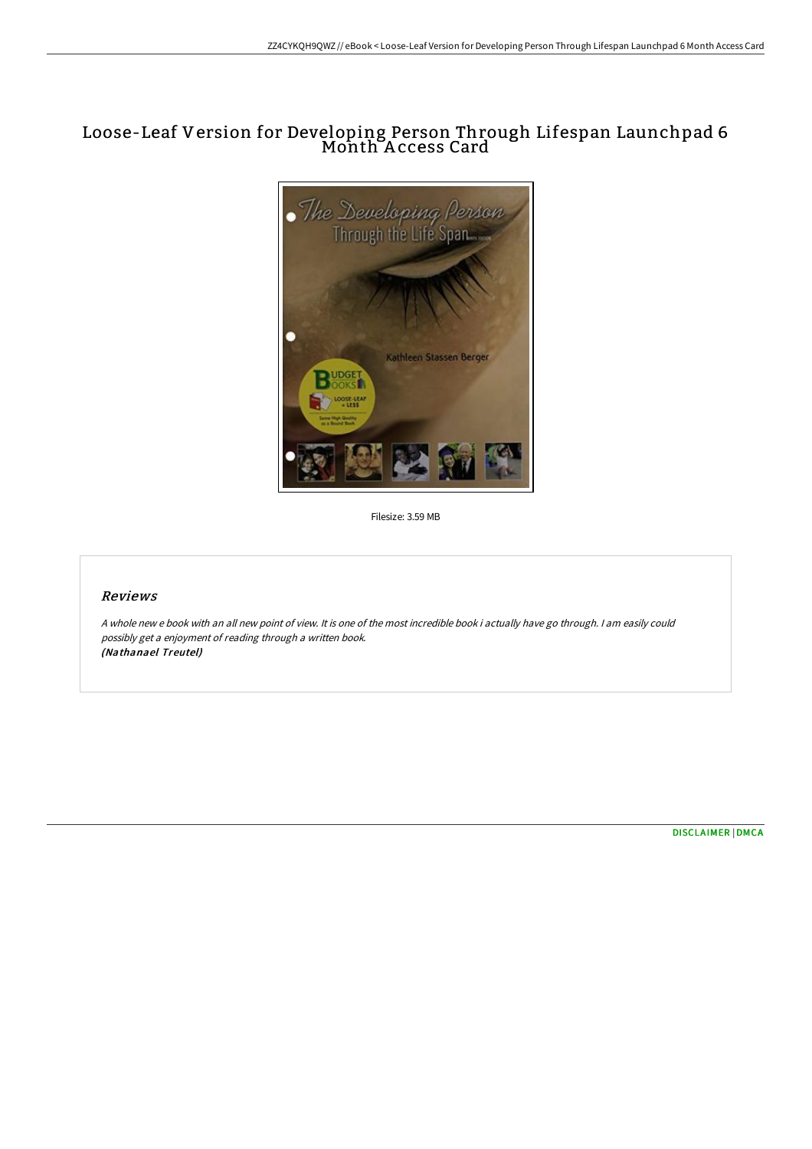# Loose-Leaf Version for Developing Person Through Lifespan Launchpad 6 Month A ccess Card



Filesize: 3.59 MB

## Reviews

<sup>A</sup> whole new <sup>e</sup> book with an all new point of view. It is one of the most incredible book i actually have go through. <sup>I</sup> am easily could possibly get <sup>a</sup> enjoyment of reading through <sup>a</sup> written book. (Nathanael Treutel)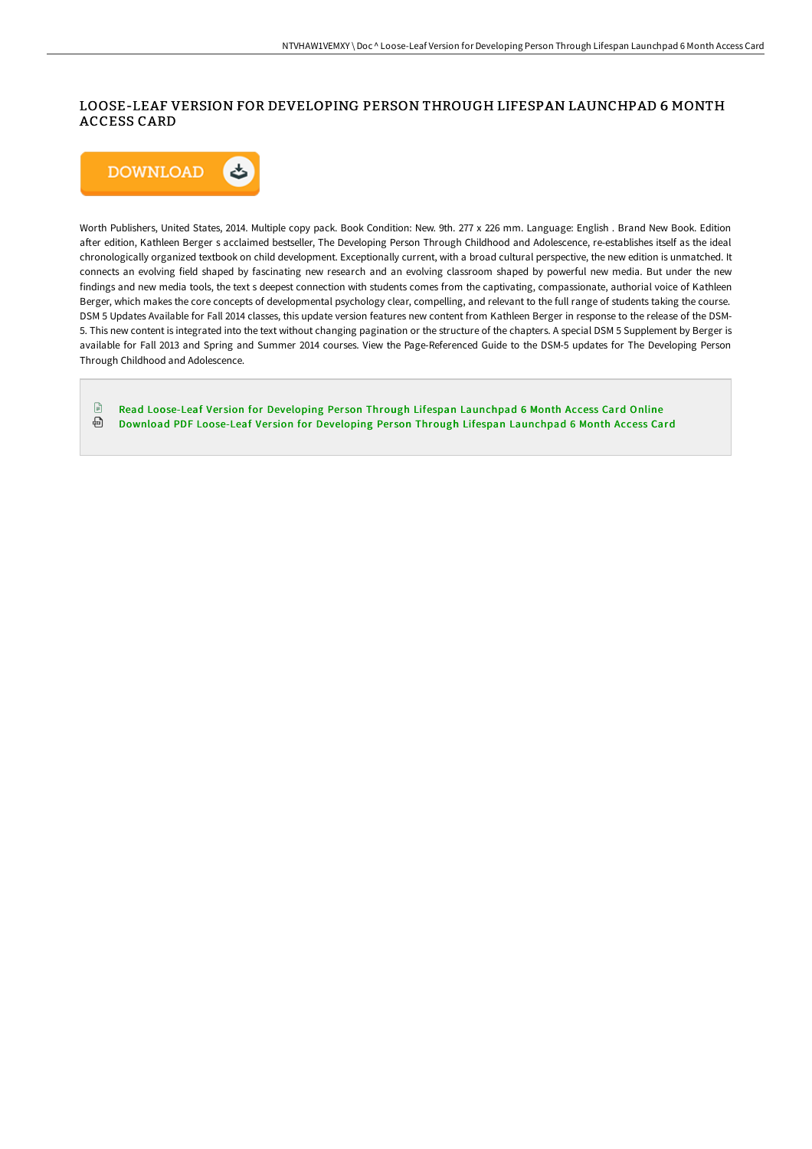### LOOSE-LEAF VERSION FOR DEVELOPING PERSON THROUGH LIFESPAN LAUNCHPAD 6 MONTH ACCESS CARD



Worth Publishers, United States, 2014. Multiple copy pack. Book Condition: New. 9th. 277 x 226 mm. Language: English . Brand New Book. Edition after edition, Kathleen Berger s acclaimed bestseller, The Developing Person Through Childhood and Adolescence, re-establishes itself as the ideal chronologically organized textbook on child development. Exceptionally current, with a broad cultural perspective, the new edition is unmatched. It connects an evolving field shaped by fascinating new research and an evolving classroom shaped by powerful new media. But under the new findings and new media tools, the text s deepest connection with students comes from the captivating, compassionate, authorial voice of Kathleen Berger, which makes the core concepts of developmental psychology clear, compelling, and relevant to the full range of students taking the course. DSM 5 Updates Available for Fall 2014 classes, this update version features new content from Kathleen Berger in response to the release of the DSM-5. This new content is integrated into the text without changing pagination or the structure of the chapters. A special DSM 5 Supplement by Berger is available for Fall 2013 and Spring and Summer 2014 courses. View the Page-Referenced Guide to the DSM-5 updates for The Developing Person Through Childhood and Adolescence.

 $\mathbb{P}$ Read Loose-Leaf Version for Developing Person Through Lifespan [Launchpad](http://www.bookdirs.com/loose-leaf-version-for-developing-person-through.html) 6 Month Access Card Online ⊕ Download PDF Loose-Leaf Version for Developing Person Through Lifespan [Launchpad](http://www.bookdirs.com/loose-leaf-version-for-developing-person-through.html) 6 Month Access Card